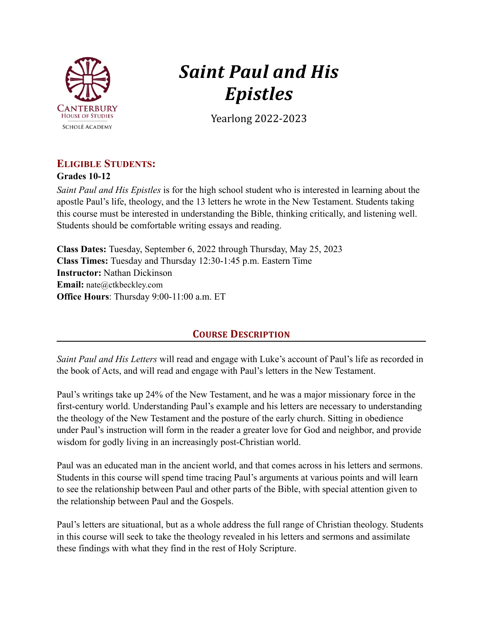

# *Saint Paul and His Epistles*

Yearlong 2022-2023

# **ELIGIBLE STUDENTS:**

**Grades 10-12**

*Saint Paul and His Epistles* is for the high school student who is interested in learning about the apostle Paul's life, theology, and the 13 letters he wrote in the New Testament. Students taking this course must be interested in understanding the Bible, thinking critically, and listening well. Students should be comfortable writing essays and reading.

**Class Dates:** Tuesday, September 6, 2022 through Thursday, May 25, 2023 **Class Times:** Tuesday and Thursday 12:30-1:45 p.m. Eastern Time **Instructor:** Nathan Dickinson **Email:** nate@ctkbeckley.com **Office Hours**: Thursday 9:00-11:00 a.m. ET

# **COURSE DESCRIPTION**

*Saint Paul and His Letters* will read and engage with Luke's account of Paul's life as recorded in the book of Acts, and will read and engage with Paul's letters in the New Testament.

Paul's writings take up 24% of the New Testament, and he was a major missionary force in the first-century world. Understanding Paul's example and his letters are necessary to understanding the theology of the New Testament and the posture of the early church. Sitting in obedience under Paul's instruction will form in the reader a greater love for God and neighbor, and provide wisdom for godly living in an increasingly post-Christian world.

Paul was an educated man in the ancient world, and that comes across in his letters and sermons. Students in this course will spend time tracing Paul's arguments at various points and will learn to see the relationship between Paul and other parts of the Bible, with special attention given to the relationship between Paul and the Gospels.

Paul's letters are situational, but as a whole address the full range of Christian theology. Students in this course will seek to take the theology revealed in his letters and sermons and assimilate these findings with what they find in the rest of Holy Scripture.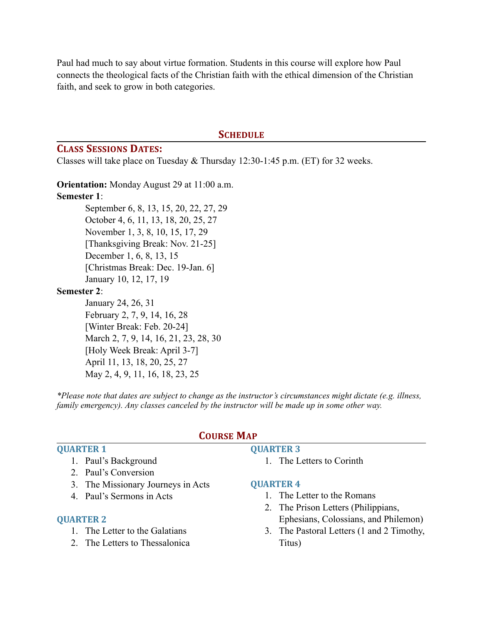Paul had much to say about virtue formation. Students in this course will explore how Paul connects the theological facts of the Christian faith with the ethical dimension of the Christian faith, and seek to grow in both categories.

#### **SCHEDULE**

#### **CLASS SESSIONS DATES:**

Classes will take place on Tuesday & Thursday 12:30-1:45 p.m. (ET) for 32 weeks.

**Orientation:** Monday August 29 at 11:00 a.m. **Semester 1**: September 6, 8, 13, 15, 20, 22, 27, 29 October 4, 6, 11, 13, 18, 20, 25, 27 November 1, 3, 8, 10, 15, 17, 29 [Thanksgiving Break: Nov. 21-25] December 1, 6, 8, 13, 15 [Christmas Break: Dec. 19-Jan. 6] January 10, 12, 17, 19

## **Semester 2**:

January 24, 26, 31 February 2, 7, 9, 14, 16, 28 [Winter Break: Feb. 20-24] March 2, 7, 9, 14, 16, 21, 23, 28, 30 [Holy Week Break: April 3-7] April 11, 13, 18, 20, 25, 27 May 2, 4, 9, 11, 16, 18, 23, 25

*\*Please note that dates are subject to change as the instructor's circumstances might dictate (e.g. illness, family emergency). Any classes canceled by the instructor will be made up in some other way.*

## **QUARTER 1**

- 1. Paul's Background
- 2. Paul's Conversion
- 3. The Missionary Journeys in Acts
- 4. Paul's Sermons in Acts

#### **QUARTER 2**

- 1. The Letter to the Galatians
- 2. The Letters to Thessalonica

## **COURSE MAP**

## **QUARTER 3**

1. The Letters to Corinth

#### **QUARTER 4**

- 1. The Letter to the Romans
- 2. The Prison Letters (Philippians, Ephesians, Colossians, and Philemon)
- 3. The Pastoral Letters (1 and 2 Timothy, Titus)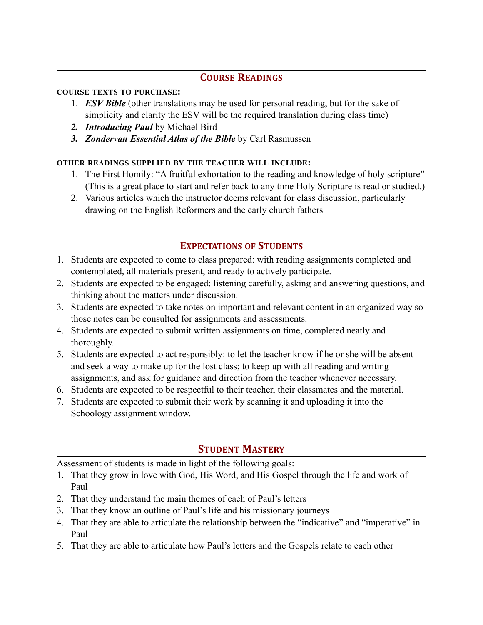# **COURSE READINGS**

## **COURSE TEXTS TO PURCHASE:**

- 1. *ESV Bible* (other translations may be used for personal reading, but for the sake of simplicity and clarity the ESV will be the required translation during class time)
- *2. Introducing Paul* by Michael Bird
- *3. Zondervan Essential Atlas of the Bible* by Carl Rasmussen

# **OTHER READINGS SUPPLIED BY THE TEACHER WILL INCLUDE:**

- 1. The First Homily: "A fruitful exhortation to the reading and knowledge of holy scripture" (This is a great place to start and refer back to any time Holy Scripture is read or studied.)
- 2. Various articles which the instructor deems relevant for class discussion, particularly drawing on the English Reformers and the early church fathers

# **EXPECTATIONS OF STUDENTS**

- 1. Students are expected to come to class prepared: with reading assignments completed and contemplated, all materials present, and ready to actively participate.
- 2. Students are expected to be engaged: listening carefully, asking and answering questions, and thinking about the matters under discussion.
- 3. Students are expected to take notes on important and relevant content in an organized way so those notes can be consulted for assignments and assessments.
- 4. Students are expected to submit written assignments on time, completed neatly and thoroughly.
- 5. Students are expected to act responsibly: to let the teacher know if he or she will be absent and seek a way to make up for the lost class; to keep up with all reading and writing assignments, and ask for guidance and direction from the teacher whenever necessary.
- 6. Students are expected to be respectful to their teacher, their classmates and the material.
- 7. Students are expected to submit their work by scanning it and uploading it into the Schoology assignment window.

# **STUDENT MASTERY**

Assessment of students is made in light of the following goals:

- 1. That they grow in love with God, His Word, and His Gospel through the life and work of Paul
- 2. That they understand the main themes of each of Paul's letters
- 3. That they know an outline of Paul's life and his missionary journeys
- 4. That they are able to articulate the relationship between the "indicative" and "imperative" in Paul
- 5. That they are able to articulate how Paul's letters and the Gospels relate to each other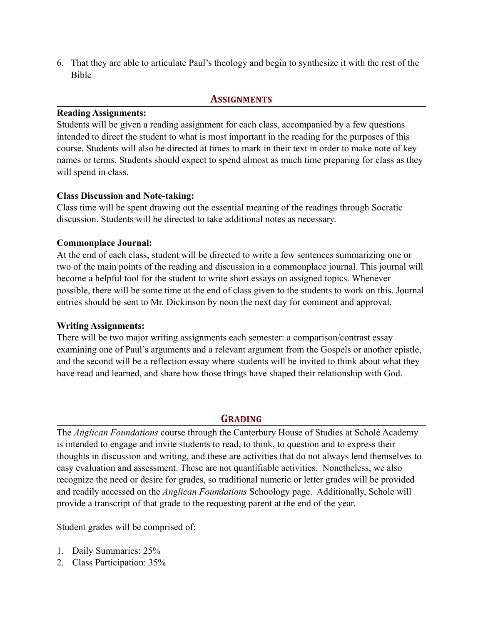6. That they are able to articulate Paul's theology and begin to synthesize it with the rest of the Bible

## **ASSIGNMENTS**

## **Reading Assignments:**

Students will be given a reading assignment for each class, accompanied by a few questions intended to direct the student to what is most important in the reading for the purposes of this course. Students will also be directed at times to mark in their text in order to make note of key names or terms. Students should expect to spend almost as much time preparing for class as they will spend in class.

## **Class Discussion and Note-taking:**

Class time will be spent drawing out the essential meaning of the readings through Socratic discussion. Students will be directed to take additional notes as necessary.

## **Commonplace Journal:**

At the end of each class, student will be directed to write a few sentences summarizing one or two of the main points of the reading and discussion in a commonplace journal. This journal will become a helpful tool for the student to write short essays on assigned topics. Whenever possible, there will be some time at the end of class given to the students to work on this. Journal entries should be sent to Mr. Dickinson by noon the next day for comment and approval.

## **Writing Assignments:**

There will be two major writing assignments each semester: a comparison/contrast essay examining one of Paul's arguments and a relevant argument from the Gospels or another epistle, and the second will be a reflection essay where students will be invited to think about what they have read and learned, and share how those things have shaped their relationship with God.

# **GRADING**

The *Anglican Foundations* course through the Canterbury House of Studies at Scholé Academy is intended to engage and invite students to read, to think, to question and to express their thoughts in discussion and writing, and these are activities that do not always lend themselves to easy evaluation and assessment. These are not quantifiable activities. Nonetheless, we also recognize the need or desire for grades, so traditional numeric or letter grades will be provided and readily accessed on the *Anglican Foundations* Schoology page. Additionally, Schole will provide a transcript of that grade to the requesting parent at the end of the year.

Student grades will be comprised of:

- 1. Daily Summaries: 25%
- 2. Class Participation: 35%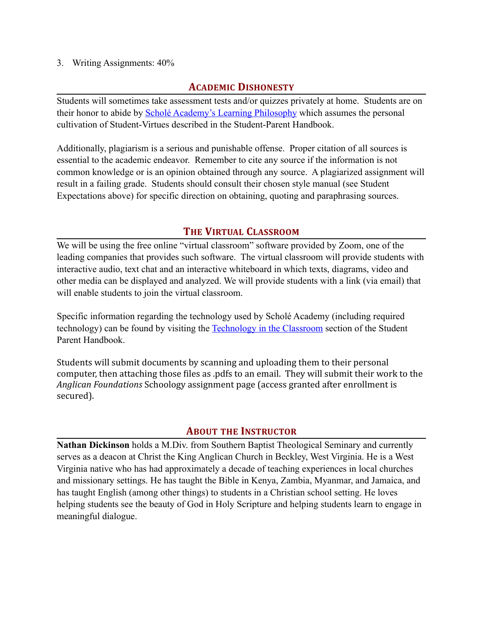## 3. Writing Assignments: 40%

## **ACADEMIC DISHONESTY**

Students will sometimes take assessment tests and/or quizzes privately at home. Students are on their honor to abide by **Scholé Academy's Learning Philosophy** which assumes the personal cultivation of Student-Virtues described in the Student-Parent Handbook.

Additionally, plagiarism is a serious and punishable offense. Proper citation of all sources is essential to the academic endeavor. Remember to cite any source if the information is not common knowledge or is an opinion obtained through any source. A plagiarized assignment will result in a failing grade. Students should consult their chosen style manual (see Student Expectations above) for specific direction on obtaining, quoting and paraphrasing sources.

# **THE VIRTUAL CLASSROOM**

We will be using the free online "virtual classroom" software provided by Zoom, one of the leading companies that provides such software. The virtual classroom will provide students with interactive audio, text chat and an interactive whiteboard in which texts, diagrams, video and other media can be displayed and analyzed. We will provide students with a link (via email) that will enable students to join the virtual classroom.

Specific information regarding the technology used by Scholé Academy (including required technology) can be found by visiting the [Technology in the Classroom](http://www.scholeacademy.com/student-parent-handbook/) section of the Student Parent Handbook.

Students will submit documents by scanning and uploading them to their personal computer, then attaching those files as .pdfs to an email. They will submit their work to the Anglican Foundations Schoology assignment page (access granted after enrollment is secured). 

# **ABOUT THE INSTRUCTOR**

**Nathan Dickinson** holds a M.Div. from Southern Baptist Theological Seminary and currently serves as a deacon at Christ the King Anglican Church in Beckley, West Virginia. He is a West Virginia native who has had approximately a decade of teaching experiences in local churches and missionary settings. He has taught the Bible in Kenya, Zambia, Myanmar, and Jamaica, and has taught English (among other things) to students in a Christian school setting. He loves helping students see the beauty of God in Holy Scripture and helping students learn to engage in meaningful dialogue.